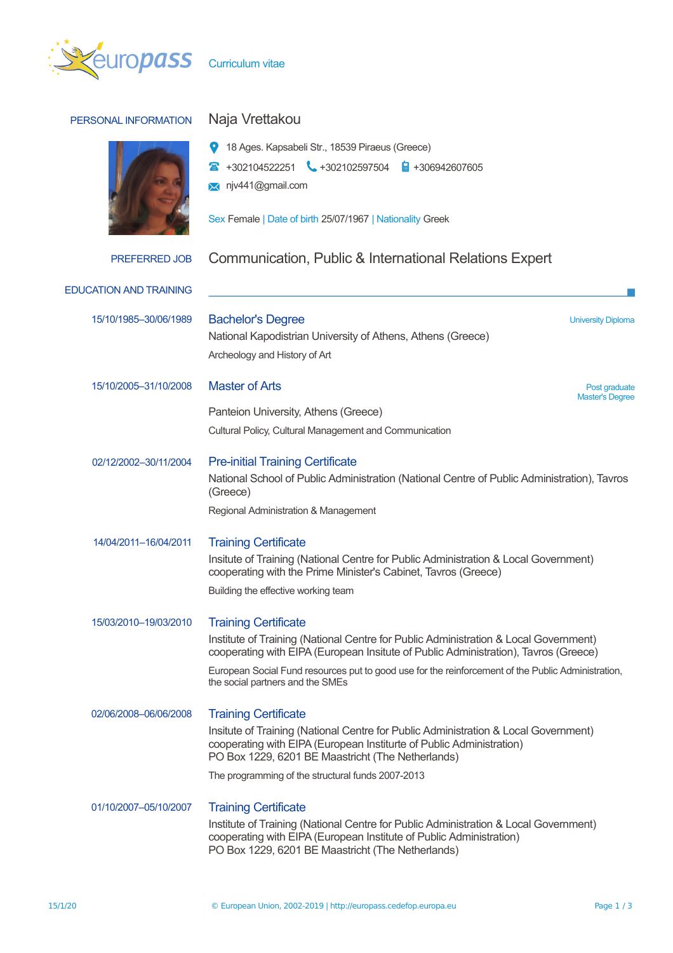

| PERSONAL INFORMATION          | Naja Vrettakou                                                                                                                                                                                                                                                                                                                                       |  |  |  |  |
|-------------------------------|------------------------------------------------------------------------------------------------------------------------------------------------------------------------------------------------------------------------------------------------------------------------------------------------------------------------------------------------------|--|--|--|--|
|                               | 18 Ages. Kapsabeli Str., 18539 Piraeus (Greece)<br>$+302104522251$ $+302102597504$<br>$\frac{1}{2}$ +306942607605<br>njv441@gmail.com<br>$\bowtie$<br>Sex Female   Date of birth 25/07/1967   Nationality Greek                                                                                                                                      |  |  |  |  |
| <b>PREFERRED JOB</b>          | Communication, Public & International Relations Expert                                                                                                                                                                                                                                                                                               |  |  |  |  |
| <b>EDUCATION AND TRAINING</b> |                                                                                                                                                                                                                                                                                                                                                      |  |  |  |  |
| 15/10/1985-30/06/1989         | <b>Bachelor's Degree</b><br><b>University Diploma</b><br>National Kapodistrian University of Athens, Athens (Greece)<br>Archeology and History of Art                                                                                                                                                                                                |  |  |  |  |
| 15/10/2005-31/10/2008         | <b>Master of Arts</b><br>Post graduate<br><b>Master's Degree</b>                                                                                                                                                                                                                                                                                     |  |  |  |  |
|                               | Panteion University, Athens (Greece)<br>Cultural Policy, Cultural Management and Communication                                                                                                                                                                                                                                                       |  |  |  |  |
| 02/12/2002-30/11/2004         | <b>Pre-initial Training Certificate</b><br>National School of Public Administration (National Centre of Public Administration), Tavros<br>(Greece)<br>Regional Administration & Management                                                                                                                                                           |  |  |  |  |
| 14/04/2011-16/04/2011         | <b>Training Certificate</b><br>Insitute of Training (National Centre for Public Administration & Local Government)<br>cooperating with the Prime Minister's Cabinet, Tavros (Greece)<br>Building the effective working team                                                                                                                          |  |  |  |  |
| 15/03/2010-19/03/2010         | <b>Training Certificate</b><br>Institute of Training (National Centre for Public Administration & Local Government)<br>cooperating with EIPA (European Insitute of Public Administration), Tavros (Greece)<br>European Social Fund resources put to good use for the reinforcement of the Public Administration,<br>the social partners and the SMEs |  |  |  |  |
| 02/06/2008-06/06/2008         | <b>Training Certificate</b><br>Insitute of Training (National Centre for Public Administration & Local Government)<br>cooperating with EIPA (European Institurte of Public Administration)<br>PO Box 1229, 6201 BE Maastricht (The Netherlands)<br>The programming of the structural funds 2007-2013                                                 |  |  |  |  |
| 01/10/2007-05/10/2007         | <b>Training Certificate</b><br>Institute of Training (National Centre for Public Administration & Local Government)<br>cooperating with EIPA (European Institute of Public Administration)<br>PO Box 1229, 6201 BE Maastricht (The Netherlands)                                                                                                      |  |  |  |  |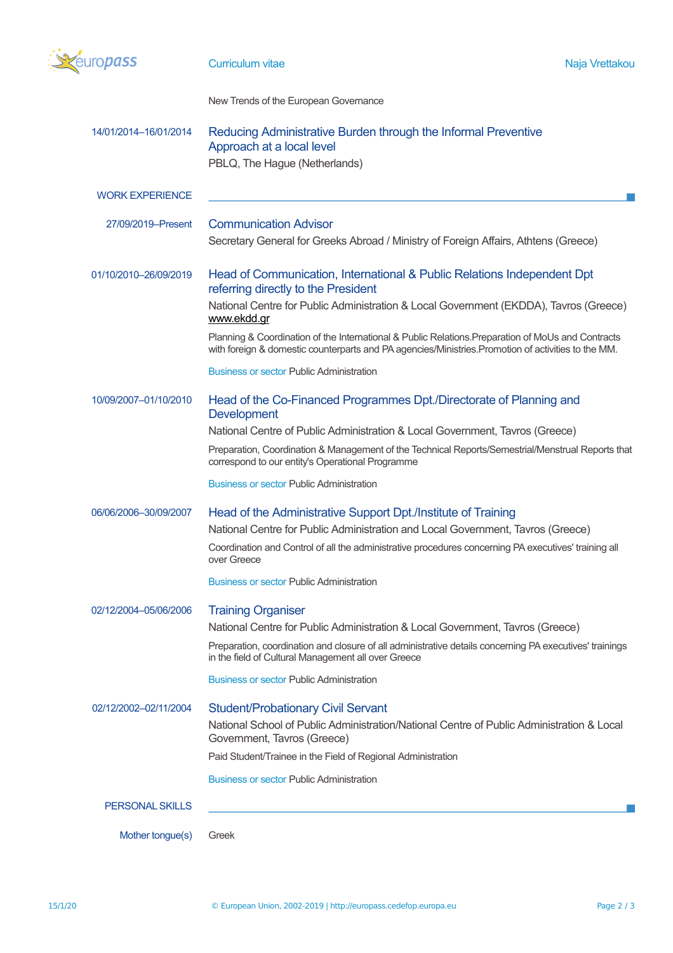

| 14/01/2014-16/01/2014  | Reducing Administrative Burden through the Informal Preventive<br>Approach at a local level<br>PBLQ, The Hague (Netherlands)                                                                              |  |  |  |  |  |
|------------------------|-----------------------------------------------------------------------------------------------------------------------------------------------------------------------------------------------------------|--|--|--|--|--|
| <b>WORK EXPERIENCE</b> |                                                                                                                                                                                                           |  |  |  |  |  |
| 27/09/2019-Present     | <b>Communication Advisor</b><br>Secretary General for Greeks Abroad / Ministry of Foreign Affairs, Athtens (Greece)                                                                                       |  |  |  |  |  |
| 01/10/2010-26/09/2019  | Head of Communication, International & Public Relations Independent Dpt<br>referring directly to the President                                                                                            |  |  |  |  |  |
|                        | National Centre for Public Administration & Local Government (EKDDA), Tavros (Greece)<br>www.ekdd.gr                                                                                                      |  |  |  |  |  |
|                        | Planning & Coordination of the International & Public Relations. Preparation of MoUs and Contracts<br>with foreign & domestic counterparts and PA agencies/Ministries. Promotion of activities to the MM. |  |  |  |  |  |
|                        | <b>Business or sector Public Administration</b>                                                                                                                                                           |  |  |  |  |  |
| 10/09/2007-01/10/2010  | Head of the Co-Financed Programmes Dpt./Directorate of Planning and<br><b>Development</b>                                                                                                                 |  |  |  |  |  |
|                        | National Centre of Public Administration & Local Government, Tavros (Greece)                                                                                                                              |  |  |  |  |  |
|                        | Preparation, Coordination & Management of the Technical Reports/Semestrial/Menstrual Reports that<br>correspond to our entity's Operational Programme                                                     |  |  |  |  |  |
|                        | <b>Business or sector Public Administration</b>                                                                                                                                                           |  |  |  |  |  |
| 06/06/2006-30/09/2007  | Head of the Administrative Support Dpt./Institute of Training                                                                                                                                             |  |  |  |  |  |
|                        | National Centre for Public Administration and Local Government, Tavros (Greece)                                                                                                                           |  |  |  |  |  |
|                        | Coordination and Control of all the administrative procedures concerning PA executives' training all<br>over Greece                                                                                       |  |  |  |  |  |
|                        | <b>Business or sector Public Administration</b>                                                                                                                                                           |  |  |  |  |  |
| 02/12/2004-05/06/2006  | <b>Training Organiser</b><br>National Centre for Public Administration & Local Government, Tavros (Greece)                                                                                                |  |  |  |  |  |
|                        | Preparation, coordination and closure of all administrative details concerning PA executives' trainings<br>in the field of Cultural Management all over Greece                                            |  |  |  |  |  |
|                        | <b>Business or sector Public Administration</b>                                                                                                                                                           |  |  |  |  |  |
| 02/12/2002-02/11/2004  | <b>Student/Probationary Civil Servant</b>                                                                                                                                                                 |  |  |  |  |  |
|                        | National School of Public Administration/National Centre of Public Administration & Local<br>Government, Tavros (Greece)                                                                                  |  |  |  |  |  |
|                        | Paid Student/Trainee in the Field of Regional Administration                                                                                                                                              |  |  |  |  |  |
|                        | <b>Business or sector Public Administration</b>                                                                                                                                                           |  |  |  |  |  |
| <b>PERSONAL SKILLS</b> |                                                                                                                                                                                                           |  |  |  |  |  |
| Mother tongue(s)       | Greek                                                                                                                                                                                                     |  |  |  |  |  |